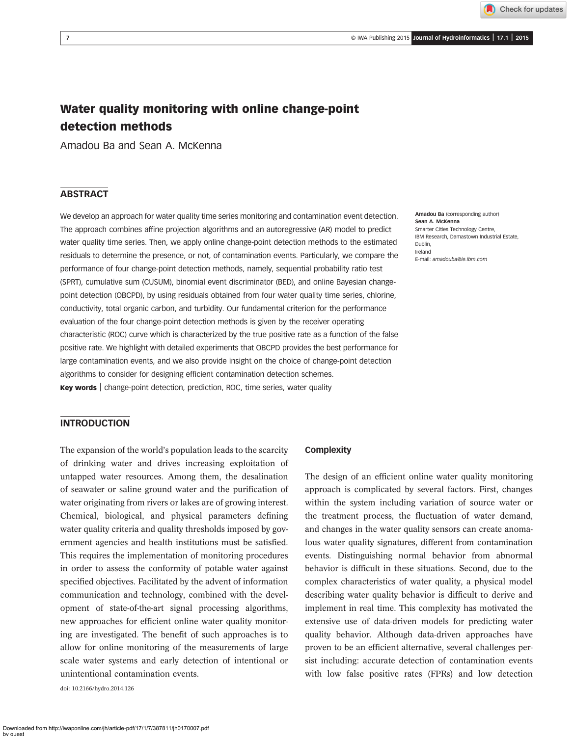# Water quality monitoring with online change-point detection methods

Amadou Ba and Sean A. McKenna

## **ABSTRACT**

We develop an approach for water quality time series monitoring and contamination event detection. The approach combines affine projection algorithms and an autoregressive (AR) model to predict water quality time series. Then, we apply online change-point detection methods to the estimated residuals to determine the presence, or not, of contamination events. Particularly, we compare the performance of four change-point detection methods, namely, sequential probability ratio test (SPRT), cumulative sum (CUSUM), binomial event discriminator (BED), and online Bayesian changepoint detection (OBCPD), by using residuals obtained from four water quality time series, chlorine, conductivity, total organic carbon, and turbidity. Our fundamental criterion for the performance evaluation of the four change-point detection methods is given by the receiver operating characteristic (ROC) curve which is characterized by the true positive rate as a function of the false positive rate. We highlight with detailed experiments that OBCPD provides the best performance for large contamination events, and we also provide insight on the choice of change-point detection algorithms to consider for designing efficient contamination detection schemes. Key words | change-point detection, prediction, ROC, time series, water quality

Amadou Ba (corresponding author) Sean A. McKenna Smarter Cities Technology Centre, IBM Research, Damastown Industrial Estate, Dublin, Ireland E-mail: [amadouba@ie.ibm.com](mailto:amadouba@ie.ibm.com)

### INTRODUCTION

The expansion of the world's population leads to the scarcity of drinking water and drives increasing exploitation of untapped water resources. Among them, the desalination of seawater or saline ground water and the purification of water originating from rivers or lakes are of growing interest. Chemical, biological, and physical parameters defining water quality criteria and quality thresholds imposed by government agencies and health institutions must be satisfied. This requires the implementation of monitoring procedures in order to assess the conformity of potable water against specified objectives. Facilitated by the advent of information communication and technology, combined with the development of state-of-the-art signal processing algorithms, new approaches for efficient online water quality monitoring are investigated. The benefit of such approaches is to allow for online monitoring of the measurements of large scale water systems and early detection of intentional or unintentional contamination events.

doi: 10.2166/hydro.2014.126

#### **Complexity**

The design of an efficient online water quality monitoring approach is complicated by several factors. First, changes within the system including variation of source water or the treatment process, the fluctuation of water demand, and changes in the water quality sensors can create anomalous water quality signatures, different from contamination events. Distinguishing normal behavior from abnormal behavior is difficult in these situations. Second, due to the complex characteristics of water quality, a physical model describing water quality behavior is difficult to derive and implement in real time. This complexity has motivated the extensive use of data-driven models for predicting water quality behavior. Although data-driven approaches have proven to be an efficient alternative, several challenges persist including: accurate detection of contamination events with low false positive rates (FPRs) and low detection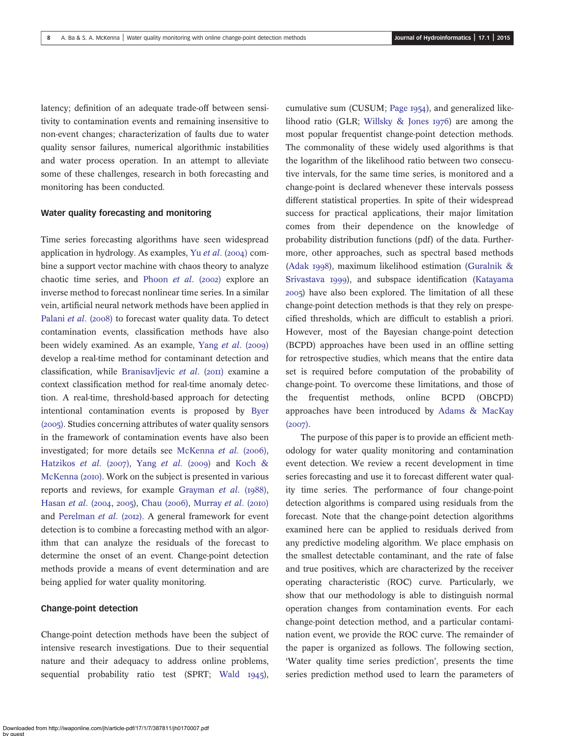latency; definition of an adequate trade-off between sensitivity to contamination events and remaining insensitive to non-event changes; characterization of faults due to water quality sensor failures, numerical algorithmic instabilities and water process operation. In an attempt to alleviate some of these challenges, research in both forecasting and monitoring has been conducted.

### Water quality forecasting and monitoring

Time series forecasting algorithms have seen widespread application in hydrology. As examples, Yu et al.  $(2004)$  combine a support vector machine with chaos theory to analyze chaotic time series, and [Phoon](#page-12-0) et al.  $(2002)$  explore an inverse method to forecast nonlinear time series. In a similar vein, artificial neural network methods have been applied in [Palani](#page-12-0) et al. (2008) to forecast water quality data. To detect contamination events, classification methods have also been widely examined. As an example, [Yang](#page-12-0)  $et$   $al.$  (2009) develop a real-time method for contaminant detection and classification, while [Branisavljevic](#page-12-0) et al.  $(20\text{H})$  examine a context classification method for real-time anomaly detection. A real-time, threshold-based approach for detecting intentional contamination events is proposed by [Byer](#page-12-0)  $(2005)$ . Studies concerning attributes of water quality sensors in the framework of contamination events have also been investigated; for more details see [McKenna](#page-12-0) et al.  $(2006)$ , [Hatzikos](#page-12-0) et al. (2007), [Yang](#page-12-0) et al. (2009) and [Koch &](#page-12-0) [McKenna \(](#page-12-0)2010). Work on the subject is presented in various reports and reviews, for example [Grayman](#page-12-0)  $et$   $al.$  ( $1988$ ), [Hasan](#page-12-0) et al. (2004, 2005), [Chau \(](#page-12-0)2006), [Murray](#page-12-0) et al. (2010) and [Perelman](#page-12-0) et al.  $(2012)$ . A general framework for event detection is to combine a forecasting method with an algorithm that can analyze the residuals of the forecast to determine the onset of an event. Change-point detection methods provide a means of event determination and are being applied for water quality monitoring.

### Change-point detection

Change-point detection methods have been the subject of intensive research investigations. Due to their sequential nature and their adequacy to address online problems, sequential probability ratio test (SPRT; [Wald](#page-12-0)  $1945$ ), cumulative sum (CUSUM; [Page](#page-12-0)  $1954$ ), and generalized likelihood ratio (GLR; Willsky  $&$  Jones 1976) are among the most popular frequentist change-point detection methods. The commonality of these widely used algorithms is that the logarithm of the likelihood ratio between two consecutive intervals, for the same time series, is monitored and a change-point is declared whenever these intervals possess different statistical properties. In spite of their widespread success for practical applications, their major limitation comes from their dependence on the knowledge of probability distribution functions (pdf) of the data. Furthermore, other approaches, such as spectral based methods ([Adak](#page-12-0) 1998), maximum likelihood estimation ([Guralnik &](#page-12-0) [Srivastava](#page-12-0) 1999), and subspace identification ([Katayama](#page-12-0) ) have also been explored. The limitation of all these change-point detection methods is that they rely on prespecified thresholds, which are difficult to establish a priori. However, most of the Bayesian change-point detection (BCPD) approaches have been used in an offline setting for retrospective studies, which means that the entire data set is required before computation of the probability of change-point. To overcome these limitations, and those of the frequentist methods, online BCPD (OBCPD) approaches have been introduced by [Adams & MacKay](#page-12-0)  $(2007).$ 

The purpose of this paper is to provide an efficient methodology for water quality monitoring and contamination event detection. We review a recent development in time series forecasting and use it to forecast different water quality time series. The performance of four change-point detection algorithms is compared using residuals from the forecast. Note that the change-point detection algorithms examined here can be applied to residuals derived from any predictive modeling algorithm. We place emphasis on the smallest detectable contaminant, and the rate of false and true positives, which are characterized by the receiver operating characteristic (ROC) curve. Particularly, we show that our methodology is able to distinguish normal operation changes from contamination events. For each change-point detection method, and a particular contamination event, we provide the ROC curve. The remainder of the paper is organized as follows. The following section, 'Water quality time series prediction', presents the time series prediction method used to learn the parameters of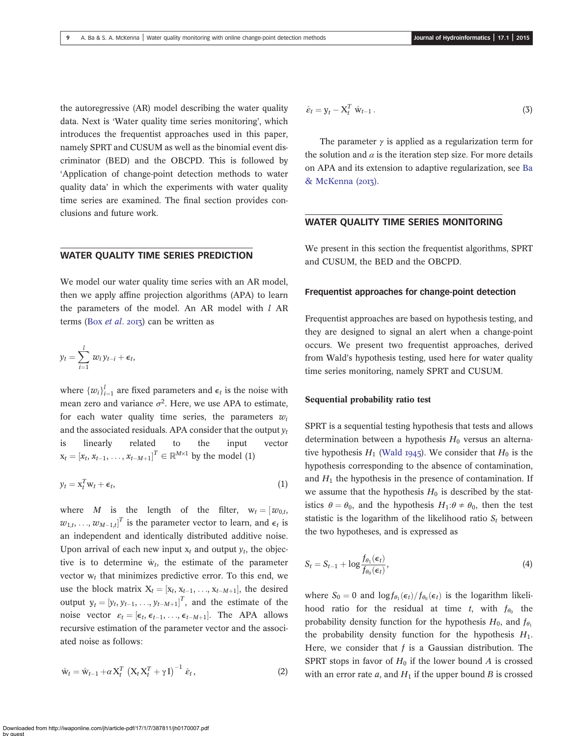the autoregressive (AR) model describing the water quality data. Next is 'Water quality time series monitoring', which introduces the frequentist approaches used in this paper, namely SPRT and CUSUM as well as the binomial event discriminator (BED) and the OBCPD. This is followed by 'Application of change-point detection methods to water quality data' in which the experiments with water quality time series are examined. The final section provides conclusions and future work.

### WATER QUALITY TIME SERIES PREDICTION

We model our water quality time series with an AR model, then we apply affine projection algorithms (APA) to learn the parameters of the model. An AR model with  $l$  AR terms (Box *[et al](#page-12-0).* 2013) can be written as

$$
y_t = \sum_{i=1}^l w_i y_{t-i} + \epsilon_t,
$$

where  $\{w_i\}_{i=1}^l$  are fixed parameters and  $\epsilon_t$  is the noise with mean zero and variance  $\sigma^2$ . Here, we use APA to estimate, for each water quality time series, the parameters  $w_i$ and the associated residuals. APA consider that the output  $y_t$ is linearly related to the input vector  $x_t = [x_t, x_{t-1}, \dots, x_{t-M+1}]^T \in \mathbb{R}^{M \times 1}$  by the model (1)

$$
y_t = \mathbf{x}_t^T \mathbf{w}_t + \boldsymbol{\epsilon}_t, \tag{1}
$$

where M is the length of the filter,  $w_t = [w_{0,t},$  $w_{1,t}, \ldots, w_{M-1,t}]^T$  is the parameter vector to learn, and  $\epsilon_t$  is an independent and identically distributed additive noise. Upon arrival of each new input  $x_t$  and output  $y_t$ , the objective is to determine  $\hat{w}_t$ , the estimate of the parameter vector  $w_t$  that minimizes predictive error. To this end, we use the block matrix  $X_t = [x_t, x_{t-1}, \ldots, x_{t-M+1}]$ , the desired output  $y_t = [y_t, y_{t-1}, \dots, y_{t-M+1}]^T$ , and the estimate of the noise vector  $\varepsilon_t = [\epsilon_t, \epsilon_{t-1}, \dots, \epsilon_{t-M+1}]$ . The APA allows recursive estimation of the parameter vector and the associated noise as follows:

$$
\hat{\mathbf{w}}_t = \hat{\mathbf{w}}_{t-1} + \alpha \mathbf{X}_t^T \left( \mathbf{X}_t \mathbf{X}_t^T + \gamma \mathbf{I} \right)^{-1} \hat{\boldsymbol{\varepsilon}}_t,\tag{2}
$$

$$
\hat{\varepsilon}_t = \mathbf{y}_t - \mathbf{X}_t^T \; \hat{\mathbf{w}}_{t-1} \,. \tag{3}
$$

The parameter  $\gamma$  is applied as a regularization term for the solution and  $\alpha$  is the iteration step size. For more details on APA and its extension to adaptive regularization, see [Ba](#page-12-0) [& McKenna \(](#page-12-0)2013).

### WATER QUALITY TIME SERIES MONITORING

We present in this section the frequentist algorithms, SPRT and CUSUM, the BED and the OBCPD.

### Frequentist approaches for change-point detection

Frequentist approaches are based on hypothesis testing, and they are designed to signal an alert when a change-point occurs. We present two frequentist approaches, derived from Wald's hypothesis testing, used here for water quality time series monitoring, namely SPRT and CUSUM.

#### Sequential probability ratio test

SPRT is a sequential testing hypothesis that tests and allows determination between a hypothesis  $H_0$  versus an alternative hypothesis  $H_1$  ([Wald](#page-12-0) 1945). We consider that  $H_0$  is the hypothesis corresponding to the absence of contamination, and  $H_1$  the hypothesis in the presence of contamination. If we assume that the hypothesis  $H_0$  is described by the statistics  $\theta = \theta_0$ , and the hypothesis  $H_1$ : $\theta \neq \theta_0$ , then the test statistic is the logarithm of the likelihood ratio  $S_t$  between the two hypotheses, and is expressed as

$$
S_t = S_{t-1} + \log \frac{f_{\theta_1}(\epsilon_t)}{f_{\theta_0}(\epsilon_t)},
$$
\n(4)

where  $S_0 = 0$  and  $\log f_{\theta_1}(\epsilon_t) / f_{\theta_0}(\epsilon_t)$  is the logarithm likelihood ratio for the residual at time t, with  $f_{\theta_0}$  the probability density function for the hypothesis  $H_0$ , and  $f_{\theta_1}$ the probability density function for the hypothesis  $H_1$ . Here, we consider that  $f$  is a Gaussian distribution. The SPRT stops in favor of  $H_0$  if the lower bound A is crossed with an error rate  $a$ , and  $H_1$  if the upper bound  $B$  is crossed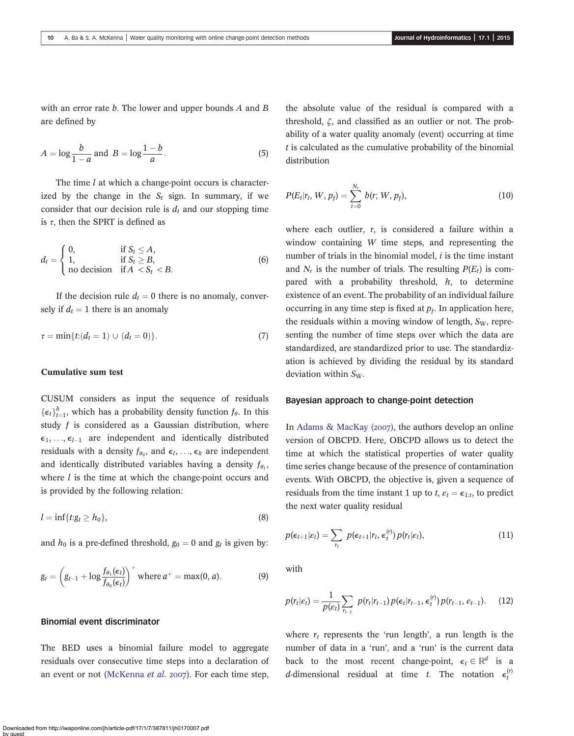with an error rate  $b$ . The lower and upper bounds  $A$  and  $B$ are defined by

$$
A = \log \frac{b}{1-a} \text{ and } B = \log \frac{1-b}{a}.
$$
 (5)

The time  $l$  at which a change-point occurs is characterized by the change in the  $S_t$  sign. In summary, if we consider that our decision rule is  $d_t$  and our stopping time is  $\tau$ , then the SPRT is defined as

$$
d_t = \begin{cases} 0, & \text{if } S_t \le A, \\ 1, & \text{if } S_t \ge B, \\ \text{no decision} & \text{if } A < S_t < B. \end{cases} \tag{6}
$$

If the decision rule  $d_t = 0$  there is no anomaly, conversely if  $d_t = 1$  there is an anomaly

$$
\tau = \min\{t: (d_t = 1) \cup (d_t = 0)\}.
$$
\n(7)

#### Cumulative sum test

CUSUM considers as input the sequence of residuals  $\{\epsilon_t\}_{t=1}^k$ , which has a probability density function  $f_\theta$ . In this study  $f$  is considered as a Gaussian distribution, where  $\epsilon_1, \ldots, \epsilon_{l-1}$  are independent and identically distributed residuals with a density  $f_{\theta_0}$ , and  $\epsilon_l$ , ...,  $\epsilon_k$  are independent and identically distributed variables having a density  $f_{\theta_1}$ , where  $l$  is the time at which the change-point occurs and is provided by the following relation:

$$
l = \inf\{t : g_t \ge h_0\},\tag{8}
$$

and  $h_0$  is a pre-defined threshold,  $g_0 = 0$  and  $g_t$  is given by:

$$
g_t = \left(g_{t-1} + \log \frac{f_{\theta_1}(\epsilon_t)}{f_{\theta_0}(\epsilon_t)}\right)^+ \text{ where } a^+ = \max(0, a). \tag{9}
$$

Binomial event discriminator

The BED uses a binomial failure model to aggregate residuals over consecutive time steps into a declaration of an event or not ([McKenna](#page-12-0) et al. 2007). For each time step, the absolute value of the residual is compared with a threshold, ζ, and classified as an outlier or not. The probability of a water quality anomaly (event) occurring at time  $t$  is calculated as the cumulative probability of the binomial distribution

$$
P(E_t|r_t, W, p_f) = \sum_{i=0}^{N_r} b(r; W, p_f),
$$
\n(10)

where each outlier,  $r$ , is considered a failure within a window containing W time steps, and representing the number of trials in the binomial model,  $i$  is the time instant and  $N_r$  is the number of trials. The resulting  $P(E_t)$  is compared with a probability threshold,  $h$ , to determine existence of an event. The probability of an individual failure occurring in any time step is fixed at  $p_f$ . In application here, the residuals within a moving window of length,  $S_W$ , representing the number of time steps over which the data are standardized, are standardized prior to use. The standardization is achieved by dividing the residual by its standard deviation within  $S_W$ .

### Bayesian approach to change-point detection

In Adams & MacKay  $(2007)$ , the authors develop an online version of OBCPD. Here, OBCPD allows us to detect the time at which the statistical properties of water quality time series change because of the presence of contamination events. With OBCPD, the objective is, given a sequence of residuals from the time instant 1 up to  $t, \varepsilon_t = \varepsilon_{1:t}$ , to predict the next water quality residual

$$
p(\epsilon_{t+1}|\varepsilon_t) = \sum_{r_t} p(\epsilon_{t+1}|r_t, \epsilon_t^{(r)}) p(r_t|\varepsilon_t), \qquad (11)
$$

with

$$
p(r_t|\varepsilon_t) = \frac{1}{p(\varepsilon_t)} \sum_{r_{t-1}} p(r_t|r_{t-1}) p(\varepsilon_t|r_{t-1}, \varepsilon_t^{(r)}) p(r_{t-1}, \varepsilon_{t-1}). \tag{12}
$$

where  $r_t$  represents the 'run length', a run length is the number of data in a 'run', and a 'run' is the current data back to the most recent change-point,  $\epsilon_t \in \mathbb{R}^d$  is a *d*-dimensional residual at time *t*. The notation  $\epsilon_t^{(r)}$ 

Downloaded from http://iwaponline.com/jh/article-pdf/17/1/7/387811/jh0170007.pdf by guest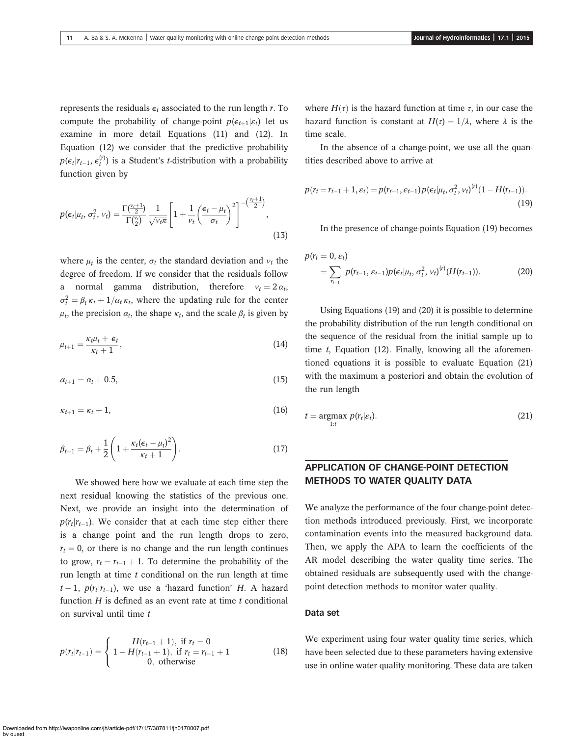represents the residuals  $\epsilon_t$  associated to the run length r. To compute the probability of change-point  $p(\epsilon_{t+1}|\epsilon_t)$  let us examine in more detail Equations (11) and (12). In Equation (12) we consider that the predictive probability  $p(\epsilon_t | r_{t-1}, \epsilon_t^{(r)})$  is a Student's *t*-distribution with a probability function given by

$$
p(\epsilon_t | \mu_t, \sigma_t^2, v_t) = \frac{\Gamma(\frac{v_t+1}{2})}{\Gamma(\frac{v_t}{2})} \frac{1}{\sqrt{v_t \pi}} \left[ 1 + \frac{1}{v_t} \left( \frac{\epsilon_t - \mu_t}{\sigma_t} \right)^2 \right]^{-(\frac{v_t+1}{2})},
$$
\n(13)

where  $\mu_t$  is the center,  $\sigma_t$  the standard deviation and  $v_t$  the degree of freedom. If we consider that the residuals follow a normal gamma distribution, therefore  $v_t = 2 \alpha_t$ ,  $\sigma_t^2 = \beta_t \kappa_t + 1/\alpha_t \kappa_t$ , where the updating rule for the center  $\mu_t$ , the precision  $\alpha_t$ , the shape  $\kappa_t$ , and the scale  $\beta_t$  is given by

$$
\mu_{t+1} = \frac{\kappa_t \mu_t + \epsilon_t}{\kappa_t + 1},\tag{14}
$$

$$
\alpha_{t+1} = \alpha_t + 0.5, \tag{15}
$$

$$
\kappa_{t+1} = \kappa_t + 1, \tag{16}
$$

$$
\beta_{t+1} = \beta_t + \frac{1}{2} \left( 1 + \frac{\kappa_t (\epsilon_t - \mu_t)^2}{\kappa_t + 1} \right). \tag{17}
$$

We showed here how we evaluate at each time step the next residual knowing the statistics of the previous one. Next, we provide an insight into the determination of  $p(r_t|r_{t-1})$ . We consider that at each time step either there is a change point and the run length drops to zero,  $r_t = 0$ , or there is no change and the run length continues to grow,  $r_t = r_{t-1} + 1$ . To determine the probability of the run length at time  $t$  conditional on the run length at time  $t-1$ ,  $p(r_t|r_{t-1})$ , we use a 'hazard function' H. A hazard function  $H$  is defined as an event rate at time  $t$  conditional on survival until time  $t$ 

$$
p(r_t|r_{t-1}) = \begin{cases} H(r_{t-1} + 1), & \text{if } r_t = 0\\ 1 - H(r_{t-1} + 1), & \text{if } r_t = r_{t-1} + 1\\ 0, & \text{otherwise} \end{cases}
$$
(18)

where  $H(\tau)$  is the hazard function at time  $\tau$ , in our case the hazard function is constant at  $H(\tau) = 1/\lambda$ , where  $\lambda$  is the time scale.

In the absence of a change-point, we use all the quantities described above to arrive at

$$
p(r_t = r_{t-1} + 1, \varepsilon_t) = p(r_{t-1}, \varepsilon_{t-1}) p(\varepsilon_t | \mu_t, \sigma_t^2, v_t)^{(r)} (1 - H(r_{t-1})).
$$
\n(19)

In the presence of change-points Equation (19) becomes

$$
p(r_t = 0, \varepsilon_t)
$$
  
=  $\sum_{r_{t-1}} p(r_{t-1}, \varepsilon_{t-1}) p(\varepsilon_t | \mu_t, \sigma_t^2, \nu_t)^{(r)} (H(r_{t-1})).$  (20)

Using Equations (19) and (20) it is possible to determine the probability distribution of the run length conditional on the sequence of the residual from the initial sample up to time  $t$ , Equation (12). Finally, knowing all the aforementioned equations it is possible to evaluate Equation (21) with the maximum a posteriori and obtain the evolution of the run length

$$
t = \underset{1:t}{\operatorname{argmax}} \ p(r_t|\varepsilon_t). \tag{21}
$$

## APPLICATION OF CHANGE-POINT DETECTION METHODS TO WATER QUALITY DATA

We analyze the performance of the four change-point detection methods introduced previously. First, we incorporate contamination events into the measured background data. Then, we apply the APA to learn the coefficients of the AR model describing the water quality time series. The obtained residuals are subsequently used with the changepoint detection methods to monitor water quality.

### Data set

We experiment using four water quality time series, which have been selected due to these parameters having extensive use in online water quality monitoring. These data are taken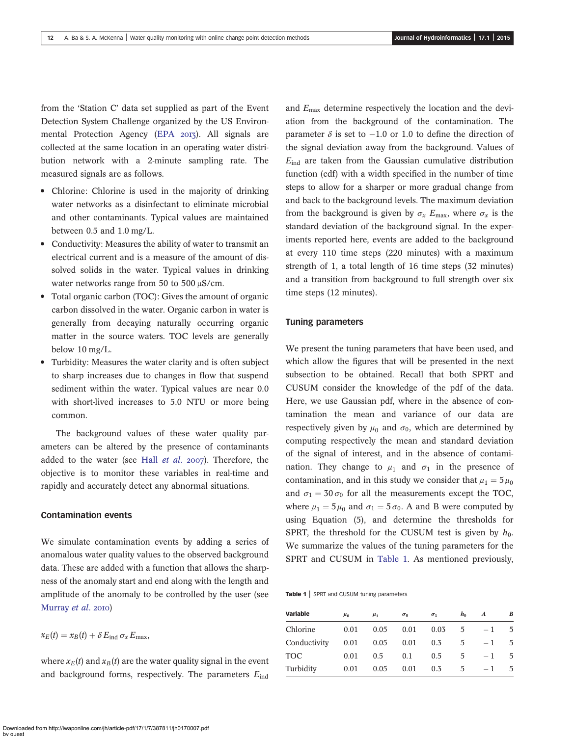<span id="page-5-0"></span>from the 'Station C' data set supplied as part of the Event Detection System Challenge organized by the US Environ-mental Protection Agency ([EPA](#page-12-0) 2013). All signals are collected at the same location in an operating water distribution network with a 2-minute sampling rate. The measured signals are as follows.

- Chlorine: Chlorine is used in the majority of drinking water networks as a disinfectant to eliminate microbial and other contaminants. Typical values are maintained between 0.5 and 1.0 mg/L.
- Conductivity: Measures the ability of water to transmit an electrical current and is a measure of the amount of dissolved solids in the water. Typical values in drinking water networks range from 50 to 500 μS/cm.
- Total organic carbon (TOC): Gives the amount of organic carbon dissolved in the water. Organic carbon in water is generally from decaying naturally occurring organic matter in the source waters. TOC levels are generally below 10 mg/L.
- Turbidity: Measures the water clarity and is often subject to sharp increases due to changes in flow that suspend sediment within the water. Typical values are near 0.0 with short-lived increases to 5.0 NTU or more being common.

The background values of these water quality parameters can be altered by the presence of contaminants added to the water (see Hall  $et$   $al.$   $2007$ ). Therefore, the objective is to monitor these variables in real-time and rapidly and accurately detect any abnormal situations.

### Contamination events

We simulate contamination events by adding a series of anomalous water quality values to the observed background data. These are added with a function that allows the sharpness of the anomaly start and end along with the length and amplitude of the anomaly to be controlled by the user (see [Murray](#page-12-0) et al. 2010)

$$
x_E(t) = x_B(t) + \delta E_{\text{ind}} \sigma_x E_{\text{max}},
$$

where  $x_E(t)$  and  $x_B(t)$  are the water quality signal in the event and background forms, respectively. The parameters  $E_{ind}$ 

and Emax determine respectively the location and the deviation from the background of the contamination. The parameter  $\delta$  is set to  $-1.0$  or 1.0 to define the direction of the signal deviation away from the background. Values of  $E_{\text{ind}}$  are taken from the Gaussian cumulative distribution function (cdf) with a width specified in the number of time steps to allow for a sharper or more gradual change from and back to the background levels. The maximum deviation from the background is given by  $\sigma_x$  E<sub>max</sub>, where  $\sigma_x$  is the standard deviation of the background signal. In the experiments reported here, events are added to the background at every 110 time steps (220 minutes) with a maximum strength of 1, a total length of 16 time steps (32 minutes) and a transition from background to full strength over six time steps (12 minutes).

#### Tuning parameters

We present the tuning parameters that have been used, and which allow the figures that will be presented in the next subsection to be obtained. Recall that both SPRT and CUSUM consider the knowledge of the pdf of the data. Here, we use Gaussian pdf, where in the absence of contamination the mean and variance of our data are respectively given by  $\mu_0$  and  $\sigma_0$ , which are determined by computing respectively the mean and standard deviation of the signal of interest, and in the absence of contamination. They change to  $\mu_1$  and  $\sigma_1$  in the presence of contamination, and in this study we consider that  $\mu_1 = 5 \mu_0$ and  $\sigma_1 = 30 \sigma_0$  for all the measurements except the TOC, where  $\mu_1 = 5 \mu_0$  and  $\sigma_1 = 5 \sigma_0$ . A and B were computed by using Equation (5), and determine the thresholds for SPRT, the threshold for the CUSUM test is given by  $h_0$ . We summarize the values of the tuning parameters for the SPRT and CUSUM in Table 1. As mentioned previously,

Table 1 | SPRT and CUSUM tuning parameters

| <b>Variable</b> | $\mu_0$ | $\mu_1$ | $\sigma_0$ | $\sigma_1$ | $h_0$ | A    | В  |
|-----------------|---------|---------|------------|------------|-------|------|----|
| Chlorine        | 0.01    | 0.05    | 0.01       | 0.03       | 5     | $-1$ | 5. |
| Conductivity    | 0.01    | 0.05    | 0.01       | 0.3        | 5     | $-1$ | 5. |
| TOC             | 0.01    | 0.5     | 0.1        | 0.5        | 5     | $-1$ | 5. |
| Turbiditv       | 0.01    | 0.05    | 0.01       | 0.3        | 5     | $-1$ | 5  |
|                 |         |         |            |            |       |      |    |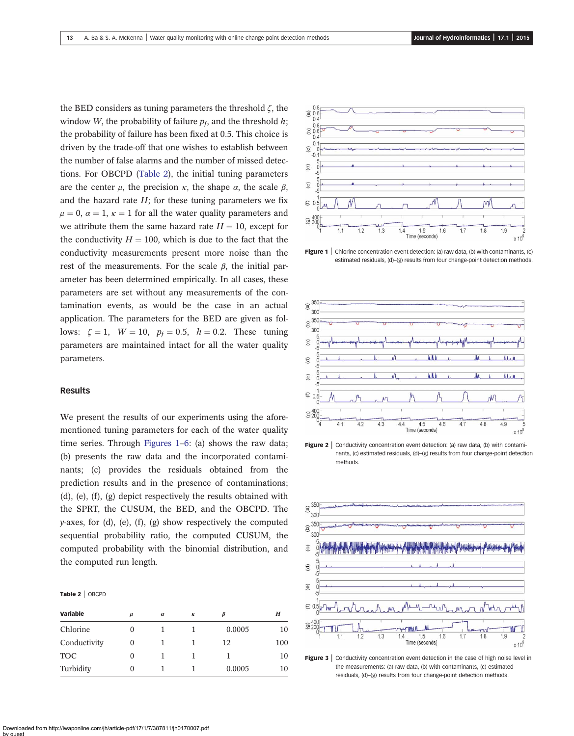<span id="page-6-0"></span>the BED considers as tuning parameters the threshold  $\zeta$ , the window W, the probability of failure  $p_t$ , and the threshold  $h$ ; the probability of failure has been fixed at 0.5. This choice is driven by the trade-off that one wishes to establish between the number of false alarms and the number of missed detections. For OBCPD (Table 2), the initial tuning parameters are the center  $\mu$ , the precision  $\kappa$ , the shape  $\alpha$ , the scale  $\beta$ , and the hazard rate  $H$ ; for these tuning parameters we fix  $\mu = 0$ ,  $\alpha = 1$ ,  $\kappa = 1$  for all the water quality parameters and we attribute them the same hazard rate  $H = 10$ , except for the conductivity  $H = 100$ , which is due to the fact that the conductivity measurements present more noise than the rest of the measurements. For the scale  $\beta$ , the initial parameter has been determined empirically. In all cases, these parameters are set without any measurements of the contamination events, as would be the case in an actual application. The parameters for the BED are given as follows:  $\zeta = 1$ ,  $W = 10$ ,  $p_f = 0.5$ ,  $h = 0.2$ . These tuning parameters are maintained intact for all the water quality parameters.

### Results

We present the results of our experiments using the aforementioned tuning parameters for each of the water quality time series. Through Figures 1–[6:](#page-7-0) (a) shows the raw data; (b) presents the raw data and the incorporated contaminants; (c) provides the residuals obtained from the prediction results and in the presence of contaminations; (d), (e), (f), (g) depict respectively the results obtained with the SPRT, the CUSUM, the BED, and the OBCPD. The y-axes, for (d), (e), (f), (g) show respectively the computed sequential probability ratio, the computed CUSUM, the computed probability with the binomial distribution, and the computed run length.

#### Table 2 | OBCPD

| <b>Variable</b> | $\mu$ | $\alpha$ | К | ß      | H   |
|-----------------|-------|----------|---|--------|-----|
| Chlorine        |       |          |   | 0.0005 | 10  |
| Conductivity    | O     |          |   | 12     | 100 |
| <b>TOC</b>      |       |          |   |        | 10  |
| Turbidity       |       |          |   | 0.0005 | 10  |



**Figure 1** Chlorine concentration event detection: (a) raw data, (b) with contaminants, (c) estimated residuals, (d)–(g) results from four change-point detection methods.



**Figure 2** | Conductivity concentration event detection: (a) raw data, (b) with contaminants, (c) estimated residuals, (d)–(g) results from four change-point detection methods.



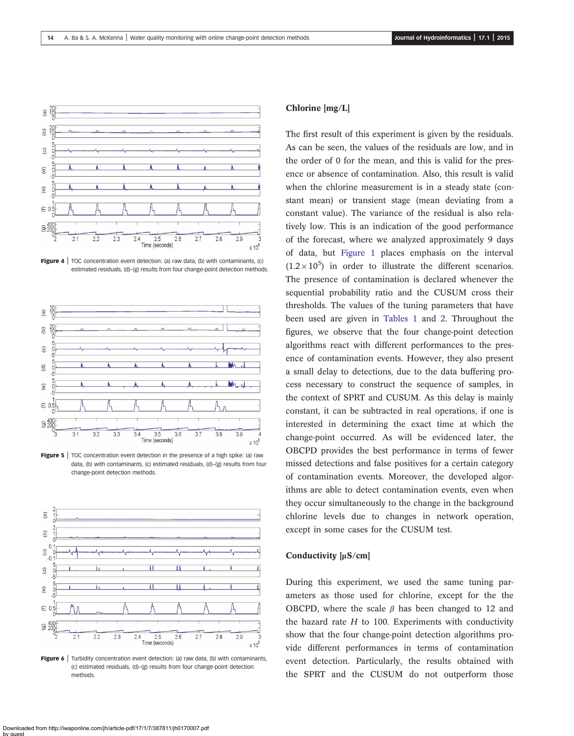<span id="page-7-0"></span>

**Figure 4** | TOC concentration event detection: (a) raw data, (b) with contaminants, (c) estimated residuals, (d)–(g) results from four change-point detection methods.



**Figure 5**  $\vert$  TOC concentration event detection in the presence of a high spike: (a) raw data, (b) with contaminants, (c) estimated residuals, (d)–(g) results from four change-point detection methods.



**Figure 6** Turbidity concentration event detection: (a) raw data, (b) with contaminants, (c) estimated residuals, (d)–(g) results from four change-point detection methods.

## Chlorine [mg/L]

The first result of this experiment is given by the residuals. As can be seen, the values of the residuals are low, and in the order of 0 for the mean, and this is valid for the presence or absence of contamination. Also, this result is valid when the chlorine measurement is in a steady state (constant mean) or transient stage (mean deviating from a constant value). The variance of the residual is also relatively low. This is an indication of the good performance of the forecast, where we analyzed approximately 9 days of data, but [Figure 1](#page-6-0) places emphasis on the interval  $(1.2 \times 10^5)$  in order to illustrate the different scenarios. The presence of contamination is declared whenever the sequential probability ratio and the CUSUM cross their thresholds. The values of the tuning parameters that have been used are given in [Tables 1](#page-5-0) and [2](#page-6-0). Throughout the figures, we observe that the four change-point detection algorithms react with different performances to the presence of contamination events. However, they also present a small delay to detections, due to the data buffering process necessary to construct the sequence of samples, in the context of SPRT and CUSUM. As this delay is mainly constant, it can be subtracted in real operations, if one is interested in determining the exact time at which the change-point occurred. As will be evidenced later, the OBCPD provides the best performance in terms of fewer missed detections and false positives for a certain category of contamination events. Moreover, the developed algorithms are able to detect contamination events, even when they occur simultaneously to the change in the background chlorine levels due to changes in network operation, except in some cases for the CUSUM test.

### Conductivity [μS/cm]

During this experiment, we used the same tuning parameters as those used for chlorine, except for the the OBCPD, where the scale  $\beta$  has been changed to 12 and the hazard rate  $H$  to 100. Experiments with conductivity show that the four change-point detection algorithms provide different performances in terms of contamination event detection. Particularly, the results obtained with the SPRT and the CUSUM do not outperform those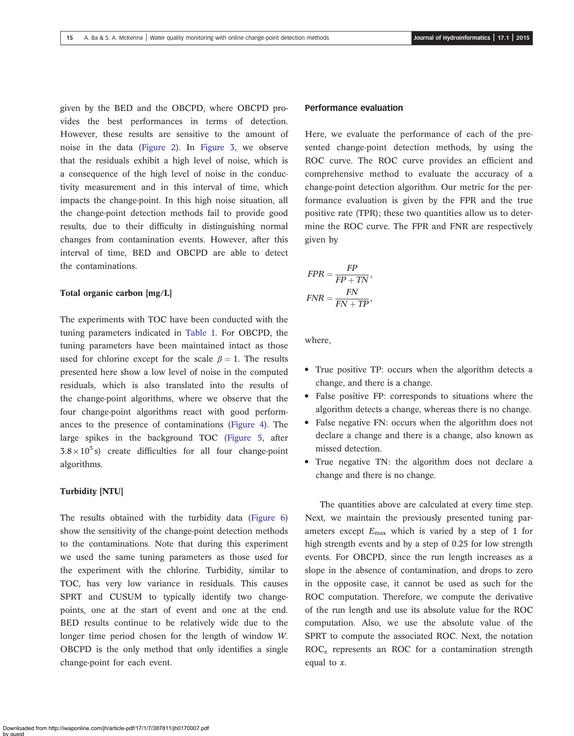given by the BED and the OBCPD, where OBCPD provides the best performances in terms of detection. However, these results are sensitive to the amount of noise in the data [\(Figure 2\)](#page-6-0). In [Figure 3](#page-6-0), we observe that the residuals exhibit a high level of noise, which is a consequence of the high level of noise in the conductivity measurement and in this interval of time, which impacts the change-point. In this high noise situation, all the change-point detection methods fail to provide good results, due to their difficulty in distinguishing normal changes from contamination events. However, after this interval of time, BED and OBCPD are able to detect the contaminations.

### Total organic carbon [mg/L]

The experiments with TOC have been conducted with the tuning parameters indicated in [Table 1.](#page-5-0) For OBCPD, the tuning parameters have been maintained intact as those used for chlorine except for the scale  $\beta = 1$ . The results presented here show a low level of noise in the computed residuals, which is also translated into the results of the change-point algorithms, where we observe that the four change-point algorithms react with good performances to the presence of contaminations [\(Figure 4](#page-7-0)). The large spikes in the background TOC [\(Figure 5,](#page-7-0) after  $3.8 \times 10^5$  s) create difficulties for all four change-point algorithms.

### Turbidity [NTU]

The results obtained with the turbidity data ([Figure 6\)](#page-7-0) show the sensitivity of the change-point detection methods to the contaminations. Note that during this experiment we used the same tuning parameters as those used for the experiment with the chlorine. Turbidity, similar to TOC, has very low variance in residuals. This causes SPRT and CUSUM to typically identify two changepoints, one at the start of event and one at the end. BED results continue to be relatively wide due to the longer time period chosen for the length of window W. OBCPD is the only method that only identifies a single change-point for each event.

### Performance evaluation

Here, we evaluate the performance of each of the presented change-point detection methods, by using the ROC curve. The ROC curve provides an efficient and comprehensive method to evaluate the accuracy of a change-point detection algorithm. Our metric for the performance evaluation is given by the FPR and the true positive rate (TPR); these two quantities allow us to determine the ROC curve. The FPR and FNR are respectively given by

$$
FPR = \frac{FP}{FP + TN},
$$

$$
FNR = \frac{FN}{FN + TP},
$$

where,

- True positive TP: occurs when the algorithm detects a change, and there is a change.
- False positive FP: corresponds to situations where the algorithm detects a change, whereas there is no change.
- False negative FN: occurs when the algorithm does not declare a change and there is a change, also known as missed detection.
- True negative TN: the algorithm does not declare a change and there is no change.

The quantities above are calculated at every time step. Next, we maintain the previously presented tuning parameters except  $E_{\text{max}}$  which is varied by a step of 1 for high strength events and by a step of 0.25 for low strength events. For OBCPD, since the run length increases as a slope in the absence of contamination, and drops to zero in the opposite case, it cannot be used as such for the ROC computation. Therefore, we compute the derivative of the run length and use its absolute value for the ROC computation. Also, we use the absolute value of the SPRT to compute the associated ROC. Next, the notation  $ROC<sub>x</sub>$  represents an ROC for a contamination strength equal to  $x$ .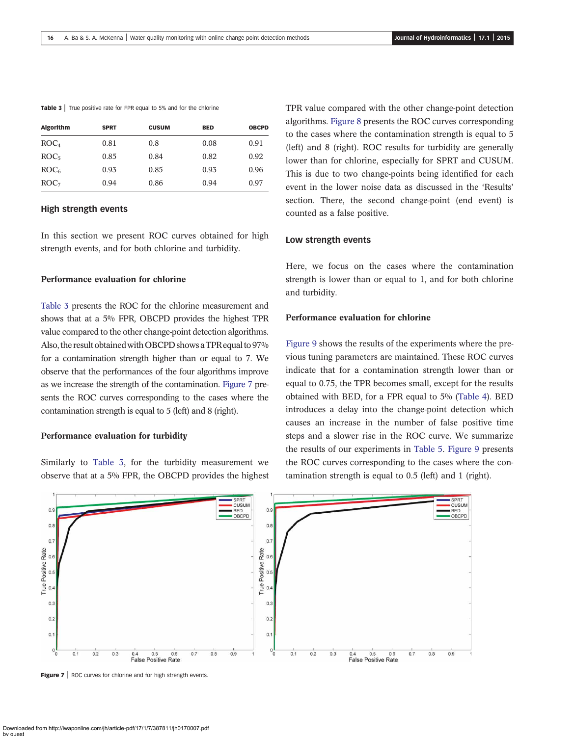| Table 3 True positive rate for FPR equal to 5% and for the chlorine |  |  |  |  |  |  |  |  |  |  |  |  |  |
|---------------------------------------------------------------------|--|--|--|--|--|--|--|--|--|--|--|--|--|
|---------------------------------------------------------------------|--|--|--|--|--|--|--|--|--|--|--|--|--|

| <b>SPRT</b> | <b>CUSUM</b> | <b>BED</b> | <b>OBCPD</b> |
|-------------|--------------|------------|--------------|
| 0.81        | 0.8          | 0.08       | 0.91         |
| 0.85        | 0.84         | 0.82       | 0.92         |
| 0.93        | 0.85         | 0.93       | 0.96         |
| 0.94        | 0.86         | 0.94       | 0.97         |
|             |              |            |              |

### High strength events

In this section we present ROC curves obtained for high strength events, and for both chlorine and turbidity.

### Performance evaluation for chlorine

Table 3 presents the ROC for the chlorine measurement and shows that at a 5% FPR, OBCPD provides the highest TPR value compared to the other change-point detection algorithms. Also, the result obtained with OBCPD shows a TPR equal to 97% for a contamination strength higher than or equal to 7. We observe that the performances of the four algorithms improve as we increase the strength of the contamination. Figure 7 presents the ROC curves corresponding to the cases where the contamination strength is equal to 5 (left) and 8 (right).

#### Performance evaluation for turbidity

Similarly to Table 3, for the turbidity measurement we observe that at a 5% FPR, the OBCPD provides the highest TPR value compared with the other change-point detection algorithms. [Figure 8](#page-10-0) presents the ROC curves corresponding to the cases where the contamination strength is equal to 5 (left) and 8 (right). ROC results for turbidity are generally lower than for chlorine, especially for SPRT and CUSUM. This is due to two change-points being identified for each event in the lower noise data as discussed in the 'Results' section. There, the second change-point (end event) is counted as a false positive.

### Low strength events

Here, we focus on the cases where the contamination strength is lower than or equal to 1, and for both chlorine and turbidity.

### Performance evaluation for chlorine

[Figure 9](#page-10-0) shows the results of the experiments where the previous tuning parameters are maintained. These ROC curves indicate that for a contamination strength lower than or equal to 0.75, the TPR becomes small, except for the results obtained with BED, for a FPR equal to 5% ([Table 4](#page-10-0)). BED introduces a delay into the change-point detection which causes an increase in the number of false positive time steps and a slower rise in the ROC curve. We summarize the results of our experiments in [Table 5](#page-10-0). [Figure 9](#page-10-0) presents the ROC curves corresponding to the cases where the contamination strength is equal to 0.5 (left) and 1 (right).



Figure 7 | ROC curves for chlorine and for high strength events.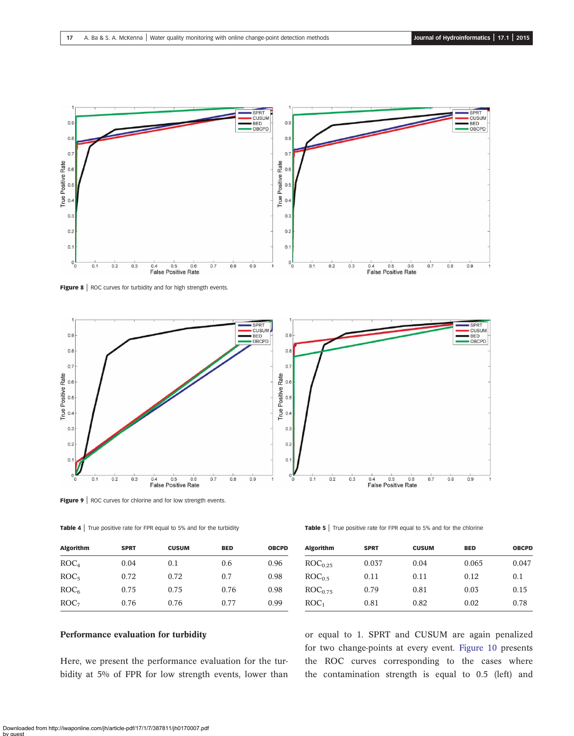<span id="page-10-0"></span>

Figure 8 | ROC curves for turbidity and for high strength events.



Figure 9 | ROC curves for chlorine and for low strength events.

Table 4 | True positive rate for FPR equal to 5% and for the turbidity

| <b>Algorithm</b> | <b>SPRT</b> | <b>CUSUM</b> | <b>BED</b> | <b>OBCPD</b> |
|------------------|-------------|--------------|------------|--------------|
| ROC <sub>4</sub> | 0.04        | 0.1          | 0.6        | 0.96         |
| ROC <sub>5</sub> | 0.72        | 0.72         | 0.7        | 0.98         |
| ROC <sub>6</sub> | 0.75        | 0.75         | 0.76       | 0.98         |
| ROC <sub>7</sub> | 0.76        | 0.76         | 0.77       | 0.99         |

# Performance evaluation for turbidity

Here, we present the performance evaluation for the turbidity at 5% of FPR for low strength events, lower than

|  | <b>Table 5</b> True positive rate for FPR equal to 5% and for the chlorine |  |  |  |  |
|--|----------------------------------------------------------------------------|--|--|--|--|
|--|----------------------------------------------------------------------------|--|--|--|--|

| <b>Algorithm</b>    | <b>SPRT</b> | <b>CUSUM</b> | <b>BED</b> | <b>OBCPD</b> |
|---------------------|-------------|--------------|------------|--------------|
| ROC <sub>0.25</sub> | 0.037       | 0.04         | 0.065      | 0.047        |
| ROC <sub>0.5</sub>  | 0.11        | 0.11         | 0.12       | 0.1          |
| ROC <sub>0.75</sub> | 0.79        | 0.81         | 0.03       | 0.15         |
| ROC <sub>1</sub>    | 0.81        | 0.82         | 0.02       | 0.78         |
|                     |             |              |            |              |

or equal to 1. SPRT and CUSUM are again penalized for two change-points at every event. [Figure 10](#page-11-0) presents the ROC curves corresponding to the cases where the contamination strength is equal to 0.5 (left) and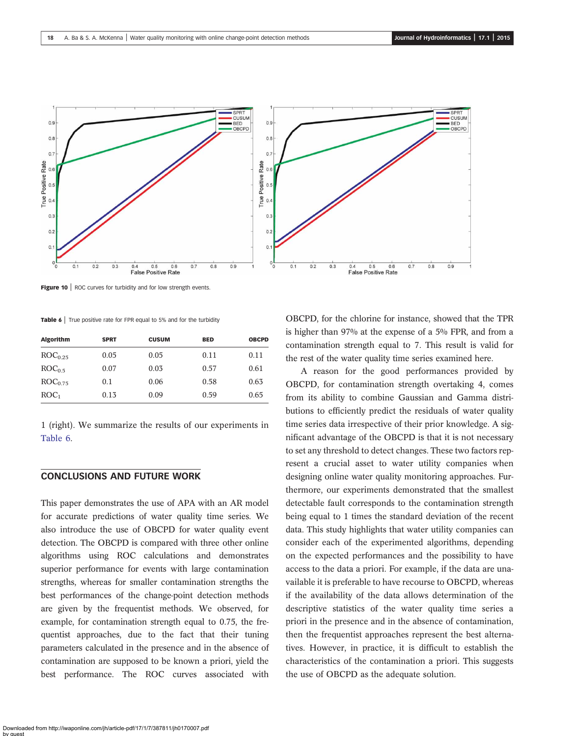<span id="page-11-0"></span>

Figure 10 | ROC curves for turbidity and for low strength events.

Table 6 True positive rate for FPR equal to 5% and for the turbidity

| <b>Algorithm</b>    | <b>SPRT</b> | <b>CUSUM</b> | <b>BED</b> | <b>OBCPD</b> |
|---------------------|-------------|--------------|------------|--------------|
| ROC <sub>0.25</sub> | 0.05        | 0.05         | 0.11       | 0.11         |
| ROC <sub>0.5</sub>  | 0.07        | 0.03         | 0.57       | 0.61         |
| ROC <sub>0.75</sub> | 0.1         | 0.06         | 0.58       | 0.63         |
| ROC <sub>1</sub>    | 0.13        | 0.09         | 0.59       | 0.65         |

1 (right). We summarize the results of our experiments in Table 6.

## CONCLUSIONS AND FUTURE WORK

This paper demonstrates the use of APA with an AR model for accurate predictions of water quality time series. We also introduce the use of OBCPD for water quality event detection. The OBCPD is compared with three other online algorithms using ROC calculations and demonstrates superior performance for events with large contamination strengths, whereas for smaller contamination strengths the best performances of the change-point detection methods are given by the frequentist methods. We observed, for example, for contamination strength equal to 0.75, the frequentist approaches, due to the fact that their tuning parameters calculated in the presence and in the absence of contamination are supposed to be known a priori, yield the best performance. The ROC curves associated with OBCPD, for the chlorine for instance, showed that the TPR is higher than 97% at the expense of a 5% FPR, and from a contamination strength equal to 7. This result is valid for the rest of the water quality time series examined here.

A reason for the good performances provided by OBCPD, for contamination strength overtaking 4, comes from its ability to combine Gaussian and Gamma distributions to efficiently predict the residuals of water quality time series data irrespective of their prior knowledge. A significant advantage of the OBCPD is that it is not necessary to set any threshold to detect changes. These two factors represent a crucial asset to water utility companies when designing online water quality monitoring approaches. Furthermore, our experiments demonstrated that the smallest detectable fault corresponds to the contamination strength being equal to 1 times the standard deviation of the recent data. This study highlights that water utility companies can consider each of the experimented algorithms, depending on the expected performances and the possibility to have access to the data a priori. For example, if the data are unavailable it is preferable to have recourse to OBCPD, whereas if the availability of the data allows determination of the descriptive statistics of the water quality time series a priori in the presence and in the absence of contamination, then the frequentist approaches represent the best alternatives. However, in practice, it is difficult to establish the characteristics of the contamination a priori. This suggests the use of OBCPD as the adequate solution.